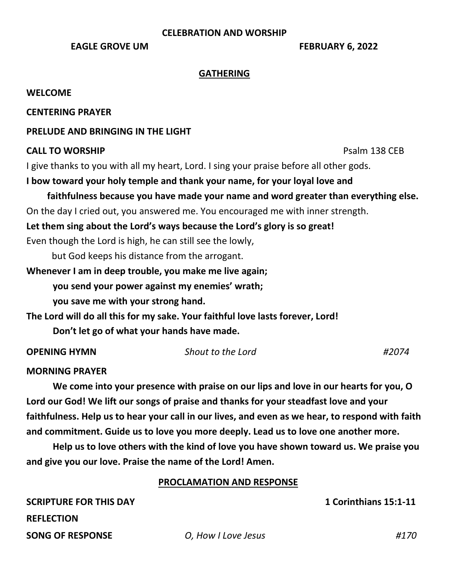#### **CELEBRATION AND WORSHIP**

**EAGLE GROVE UM FEBRUARY 6, 2022** 

#### **GATHERING**

#### **WELCOME**

#### **CENTERING PRAYER**

#### **PRELUDE AND BRINGING IN THE LIGHT**

#### **CALL TO WORSHIP PSALL TO WORSHIP**

I give thanks to you with all my heart, Lord. I sing your praise before all other gods.

## **I bow toward your holy temple and thank your name, for your loyal love and**

# **faithfulness because you have made your name and word greater than everything else.**

On the day I cried out, you answered me. You encouraged me with inner strength.

## **Let them sing about the Lord's ways because the Lord's glory is so great!**

Even though the Lord is high, he can still see the lowly,

but God keeps his distance from the arrogant.

## **Whenever I am in deep trouble, you make me live again;**

**you send your power against my enemies' wrath;** 

# **you save me with your strong hand.**

**The Lord will do all this for my sake. Your faithful love lasts forever, Lord! Don't let go of what your hands have made.**

**OPENING HYMN** *Shout to the Lord #2074*

**MORNING PRAYER**

**We come into your presence with praise on our lips and love in our hearts for you, O Lord our God! We lift our songs of praise and thanks for your steadfast love and your faithfulness. Help us to hear your call in our lives, and even as we hear, to respond with faith and commitment. Guide us to love you more deeply. Lead us to love one another more.** 

**Help us to love others with the kind of love you have shown toward us. We praise you and give you our love. Praise the name of the Lord! Amen.**

### **PROCLAMATION AND RESPONSE**

**SCRIPTURE FOR THIS DAY 1 Corinthians 15:1-11 REFLECTION SONG OF RESPONSE** *O, How I Love Jesus #170*